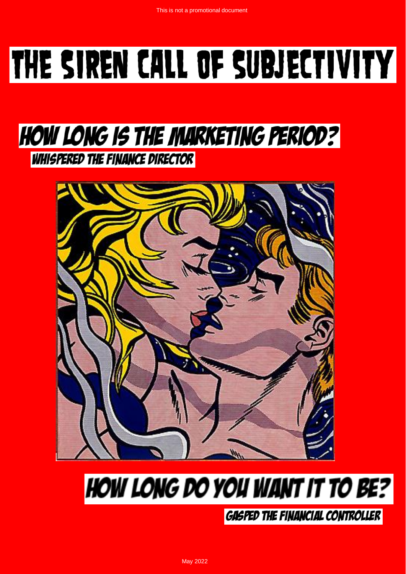# THE SIREN CALL OF SUBJECTIVITY

### **HOW LONG IS THE MARKETING PERIOD? WHISPERED THE FINANCE DIRECTOR**



## **HOW LONG DO YOU WANT IT TO BE?**

**GASPED THE FINANCIAL CONTROLLER**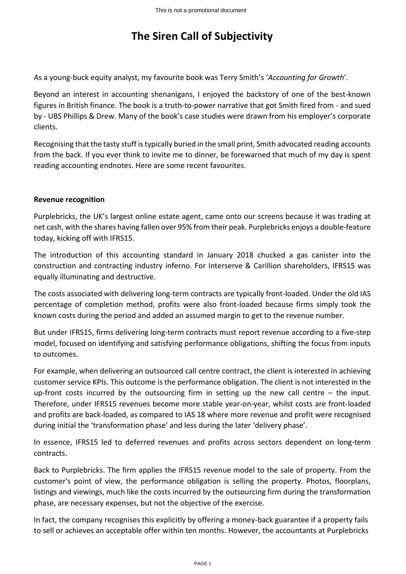#### **The Siren Call of Subjectivity**

As a young-buck equity analyst, my favourite book was Terry Smith's '*Accounting for Growth*'.

Beyond an interest in accounting shenanigans, I enjoyed the backstory of one of the best-known figures in British finance. The book is a truth-to-power narrative that got Smith fired from - and sued by - UBS Phillips & Drew. Many of the book's case studies were drawn from his employer's corporate clients.

Recognising that the tasty stuff is typically buried in the small print, Smith advocated reading accounts from the back. If you ever think to invite me to dinner, be forewarned that much of my day is spent reading accounting endnotes. Here are some recent favourites.

#### **Revenue recognition**

Purplebricks, the UK's largest online estate agent, came onto our screens because it was trading at net cash, with the shares having fallen over 95% from their peak. Purplebricks enjoys a double-feature today, kicking off with IFRS15.

The introduction of this accounting standard in January 2018 chucked a gas canister into the construction and contracting industry inferno. For Interserve & Carillion shareholders, IFRS15 was equally illuminating and destructive.

The costs associated with delivering long-term contracts are typically front-loaded. Under the old IAS percentage of completion method, profits were also front-loaded because firms simply took the known costs during the period and added an assumed margin to get to the revenue number.

But under IFRS15, firms delivering long-term contracts must report revenue according to a five-step model, focused on identifying and satisfying performance obligations, shifting the focus from inputs to outcomes.

For example, when delivering an outsourced call centre contract, the client is interested in achieving customer service KPIs. This outcome is the performance obligation. The client is not interested in the up-front costs incurred by the outsourcing firm in setting up the new call centre – the input. Therefore, under IFRS15 revenues become more stable year-on-year, whilst costs are front-loaded and profits are back-loaded, as compared to IAS 18 where more revenue and profit were recognised during initial the 'transformation phase' and less during the later 'delivery phase'.

In essence, IFRS15 led to deferred revenues and profits across sectors dependent on long-term contracts.

Back to Purplebricks. The firm applies the IFRS15 revenue model to the sale of property. From the customer's point of view, the performance obligation is selling the property. Photos, floorplans, listings and viewings, much like the costs incurred by the outsourcing firm during the transformation phase, are necessary expenses, but not the objective of the exercise.

In fact, the company recognises this explicitly by offering a money-back guarantee if a property fails to sell or achieves an acceptable offer within ten months. However, the accountants at Purplebricks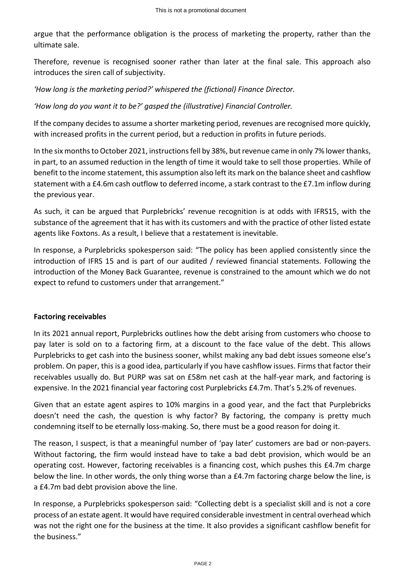argue that the performance obligation is the process of marketing the property, rather than the ultimate sale.

Therefore, revenue is recognised sooner rather than later at the final sale. This approach also introduces the siren call of subjectivity.

*'How long is the marketing period?' whispered the (fictional) Finance Director.*

*'How long do you want it to be?' gasped the (illustrative) Financial Controller.*

If the company decides to assume a shorter marketing period, revenues are recognised more quickly, with increased profits in the current period, but a reduction in profits in future periods.

In the six months to October 2021, instructions fell by 38%, but revenue came in only 7% lower thanks, in part, to an assumed reduction in the length of time it would take to sell those properties. While of benefit to the income statement, this assumption also left its mark on the balance sheet and cashflow statement with a £4.6m cash outflow to deferred income, a stark contrast to the £7.1m inflow during the previous year.

As such, it can be argued that Purplebricks' revenue recognition is at odds with IFRS15, with the substance of the agreement that it has with its customers and with the practice of other listed estate agents like Foxtons. As a result, I believe that a restatement is inevitable.

In response, a Purplebricks spokesperson said: "The policy has been applied consistently since the introduction of IFRS 15 and is part of our audited / reviewed financial statements. Following the introduction of the Money Back Guarantee, revenue is constrained to the amount which we do not expect to refund to customers under that arrangement."

#### **Factoring receivables**

In its 2021 annual report, Purplebricks outlines how the debt arising from customers who choose to pay later is sold on to a factoring firm, at a discount to the face value of the debt. This allows Purplebricks to get cash into the business sooner, whilst making any bad debt issues someone else's problem. On paper, this is a good idea, particularly if you have cashflow issues. Firms that factor their receivables usually do. But PURP was sat on £58m net cash at the half-year mark, and factoring is expensive. In the 2021 financial year factoring cost Purplebricks £4.7m. That's 5.2% of revenues.

Given that an estate agent aspires to 10% margins in a good year, and the fact that Purplebricks doesn't need the cash, the question is why factor? By factoring, the company is pretty much condemning itself to be eternally loss-making. So, there must be a good reason for doing it.

The reason, I suspect, is that a meaningful number of 'pay later' customers are bad or non-payers. Without factoring, the firm would instead have to take a bad debt provision, which would be an operating cost. However, factoring receivables is a financing cost, which pushes this £4.7m charge below the line. In other words, the only thing worse than a £4.7m factoring charge below the line, is a £4.7m bad debt provision above the line.

In response, a Purplebricks spokesperson said: "Collecting debt is a specialist skill and is not a core process of an estate agent. It would have required considerable investment in central overhead which was not the right one for the business at the time. It also provides a significant cashflow benefit for the business."